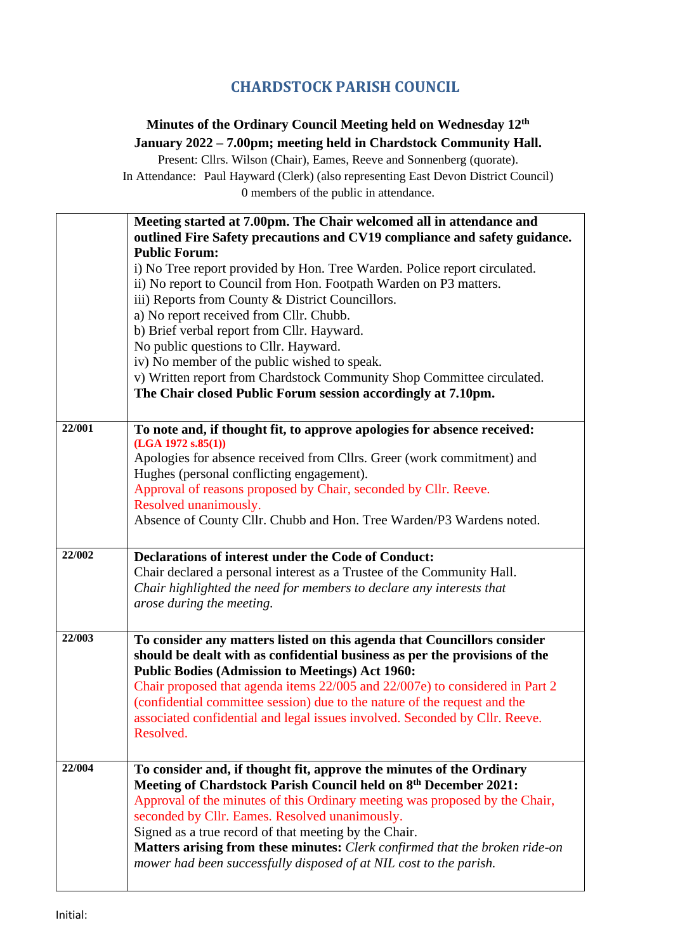## **CHARDSTOCK PARISH COUNCIL**

## **Minutes of the Ordinary Council Meeting held on Wednesday 12th January 2022 – 7.00pm; meeting held in Chardstock Community Hall.**

Present: Cllrs. Wilson (Chair), Eames, Reeve and Sonnenberg (quorate). In Attendance: Paul Hayward (Clerk) (also representing East Devon District Council) 0 members of the public in attendance.

|        | Meeting started at 7.00pm. The Chair welcomed all in attendance and<br>outlined Fire Safety precautions and CV19 compliance and safety guidance.<br><b>Public Forum:</b><br>i) No Tree report provided by Hon. Tree Warden. Police report circulated.<br>ii) No report to Council from Hon. Footpath Warden on P3 matters.<br>iii) Reports from County & District Councillors.<br>a) No report received from Cllr. Chubb.<br>b) Brief verbal report from Cllr. Hayward.<br>No public questions to Cllr. Hayward.<br>iv) No member of the public wished to speak.<br>v) Written report from Chardstock Community Shop Committee circulated.<br>The Chair closed Public Forum session accordingly at 7.10pm. |
|--------|------------------------------------------------------------------------------------------------------------------------------------------------------------------------------------------------------------------------------------------------------------------------------------------------------------------------------------------------------------------------------------------------------------------------------------------------------------------------------------------------------------------------------------------------------------------------------------------------------------------------------------------------------------------------------------------------------------|
| 22/001 | To note and, if thought fit, to approve apologies for absence received:<br>(LGA 1972 s.85(1))<br>Apologies for absence received from Cllrs. Greer (work commitment) and<br>Hughes (personal conflicting engagement).<br>Approval of reasons proposed by Chair, seconded by Cllr. Reeve.<br>Resolved unanimously.<br>Absence of County Cllr. Chubb and Hon. Tree Warden/P3 Wardens noted.                                                                                                                                                                                                                                                                                                                   |
| 22/002 | <b>Declarations of interest under the Code of Conduct:</b><br>Chair declared a personal interest as a Trustee of the Community Hall.<br>Chair highlighted the need for members to declare any interests that<br>arose during the meeting.                                                                                                                                                                                                                                                                                                                                                                                                                                                                  |
| 22/003 | To consider any matters listed on this agenda that Councillors consider<br>should be dealt with as confidential business as per the provisions of the<br><b>Public Bodies (Admission to Meetings) Act 1960:</b><br>Chair proposed that agenda items 22/005 and 22/007e) to considered in Part 2<br>(confidential committee session) due to the nature of the request and the<br>associated confidential and legal issues involved. Seconded by Cllr. Reeve.<br>Resolved.                                                                                                                                                                                                                                   |
| 22/004 | To consider and, if thought fit, approve the minutes of the Ordinary<br>Meeting of Chardstock Parish Council held on 8th December 2021:<br>Approval of the minutes of this Ordinary meeting was proposed by the Chair,<br>seconded by Cllr. Eames. Resolved unanimously.<br>Signed as a true record of that meeting by the Chair.<br>Matters arising from these minutes: Clerk confirmed that the broken ride-on<br>mower had been successfully disposed of at NIL cost to the parish.                                                                                                                                                                                                                     |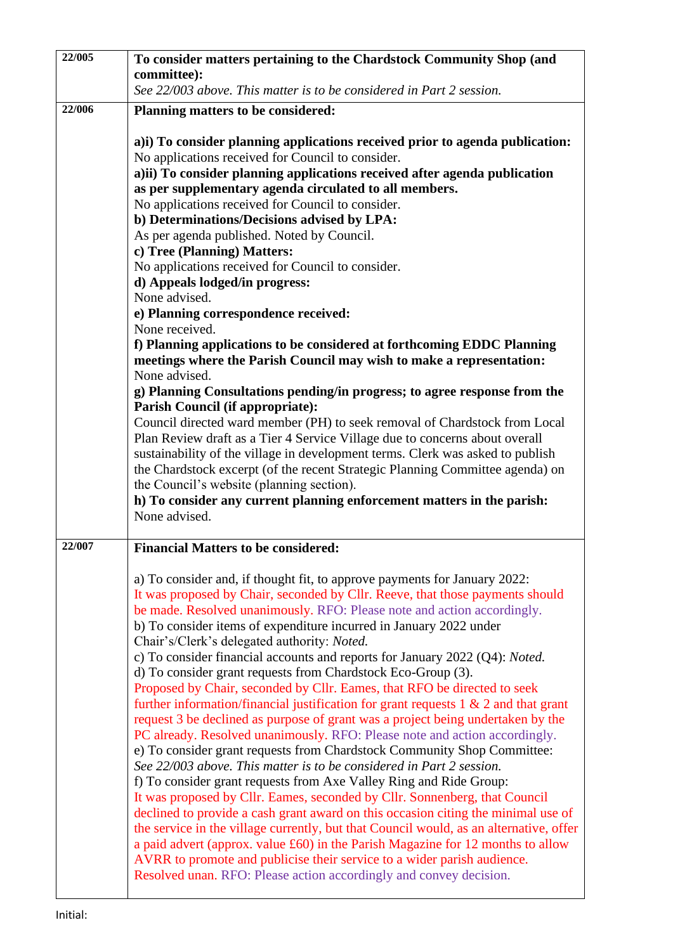| committee):<br>See 22/003 above. This matter is to be considered in Part 2 session.<br>22/006<br>Planning matters to be considered:<br>a) i) To consider planning applications received prior to agenda publication:<br>No applications received for Council to consider. |
|---------------------------------------------------------------------------------------------------------------------------------------------------------------------------------------------------------------------------------------------------------------------------|
|                                                                                                                                                                                                                                                                           |
|                                                                                                                                                                                                                                                                           |
|                                                                                                                                                                                                                                                                           |
|                                                                                                                                                                                                                                                                           |
|                                                                                                                                                                                                                                                                           |
| a)ii) To consider planning applications received after agenda publication                                                                                                                                                                                                 |
| as per supplementary agenda circulated to all members.                                                                                                                                                                                                                    |
| No applications received for Council to consider.                                                                                                                                                                                                                         |
| b) Determinations/Decisions advised by LPA:                                                                                                                                                                                                                               |
| As per agenda published. Noted by Council.                                                                                                                                                                                                                                |
| c) Tree (Planning) Matters:                                                                                                                                                                                                                                               |
| No applications received for Council to consider.<br>d) Appeals lodged/in progress:                                                                                                                                                                                       |
| None advised.                                                                                                                                                                                                                                                             |
| e) Planning correspondence received:                                                                                                                                                                                                                                      |
| None received.                                                                                                                                                                                                                                                            |
| f) Planning applications to be considered at forthcoming EDDC Planning                                                                                                                                                                                                    |
| meetings where the Parish Council may wish to make a representation:                                                                                                                                                                                                      |
| None advised.                                                                                                                                                                                                                                                             |
| g) Planning Consultations pending/in progress; to agree response from the                                                                                                                                                                                                 |
| <b>Parish Council (if appropriate):</b>                                                                                                                                                                                                                                   |
| Council directed ward member (PH) to seek removal of Chardstock from Local                                                                                                                                                                                                |
| Plan Review draft as a Tier 4 Service Village due to concerns about overall                                                                                                                                                                                               |
| sustainability of the village in development terms. Clerk was asked to publish<br>the Chardstock excerpt (of the recent Strategic Planning Committee agenda) on                                                                                                           |
| the Council's website (planning section).                                                                                                                                                                                                                                 |
| h) To consider any current planning enforcement matters in the parish:                                                                                                                                                                                                    |
| None advised.                                                                                                                                                                                                                                                             |
|                                                                                                                                                                                                                                                                           |
| 22/007<br><b>Financial Matters to be considered:</b>                                                                                                                                                                                                                      |
| a) To consider and, if thought fit, to approve payments for January 2022:                                                                                                                                                                                                 |
| It was proposed by Chair, seconded by Cllr. Reeve, that those payments should                                                                                                                                                                                             |
| be made. Resolved unanimously. RFO: Please note and action accordingly.                                                                                                                                                                                                   |
| b) To consider items of expenditure incurred in January 2022 under                                                                                                                                                                                                        |
| Chair's/Clerk's delegated authority: Noted.                                                                                                                                                                                                                               |
| c) To consider financial accounts and reports for January 2022 (Q4): Noted.                                                                                                                                                                                               |
| d) To consider grant requests from Chardstock Eco-Group (3).                                                                                                                                                                                                              |
| Proposed by Chair, seconded by Cllr. Eames, that RFO be directed to seek                                                                                                                                                                                                  |
| further information/financial justification for grant requests $1 \& 2$ and that grant<br>request 3 be declined as purpose of grant was a project being undertaken by the                                                                                                 |
| PC already. Resolved unanimously. RFO: Please note and action accordingly.                                                                                                                                                                                                |
| e) To consider grant requests from Chardstock Community Shop Committee:                                                                                                                                                                                                   |
| See 22/003 above. This matter is to be considered in Part 2 session.                                                                                                                                                                                                      |
| f) To consider grant requests from Axe Valley Ring and Ride Group:                                                                                                                                                                                                        |
| It was proposed by Cllr. Eames, seconded by Cllr. Sonnenberg, that Council                                                                                                                                                                                                |
| declined to provide a cash grant award on this occasion citing the minimal use of                                                                                                                                                                                         |
| the service in the village currently, but that Council would, as an alternative, offer                                                                                                                                                                                    |
| a paid advert (approx. value $£60$ ) in the Parish Magazine for 12 months to allow                                                                                                                                                                                        |
| AVRR to promote and publicise their service to a wider parish audience.                                                                                                                                                                                                   |
| Resolved unan. RFO: Please action accordingly and convey decision.                                                                                                                                                                                                        |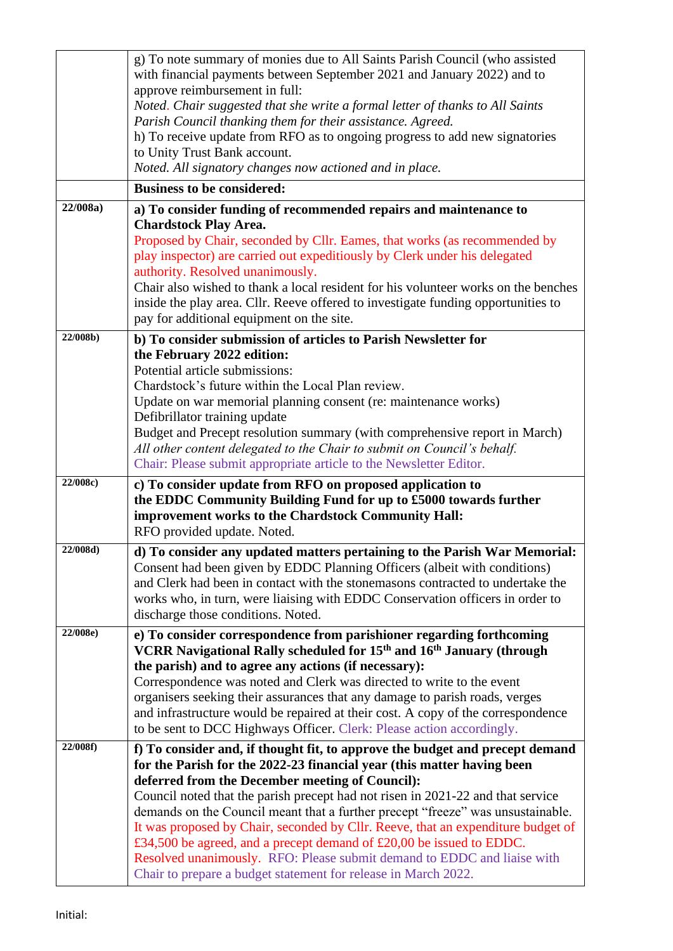|          | g) To note summary of monies due to All Saints Parish Council (who assisted<br>with financial payments between September 2021 and January 2022) and to |
|----------|--------------------------------------------------------------------------------------------------------------------------------------------------------|
|          | approve reimbursement in full:                                                                                                                         |
|          | Noted. Chair suggested that she write a formal letter of thanks to All Saints                                                                          |
|          | Parish Council thanking them for their assistance. Agreed.<br>h) To receive update from RFO as to ongoing progress to add new signatories              |
|          | to Unity Trust Bank account.                                                                                                                           |
|          | Noted. All signatory changes now actioned and in place.                                                                                                |
|          | <b>Business to be considered:</b>                                                                                                                      |
| 22/008a) | a) To consider funding of recommended repairs and maintenance to<br><b>Chardstock Play Area.</b>                                                       |
|          | Proposed by Chair, seconded by Cllr. Eames, that works (as recommended by                                                                              |
|          | play inspector) are carried out expeditiously by Clerk under his delegated                                                                             |
|          | authority. Resolved unanimously.                                                                                                                       |
|          | Chair also wished to thank a local resident for his volunteer works on the benches                                                                     |
|          | inside the play area. Cllr. Reeve offered to investigate funding opportunities to<br>pay for additional equipment on the site.                         |
| 22/008b) | b) To consider submission of articles to Parish Newsletter for                                                                                         |
|          | the February 2022 edition:                                                                                                                             |
|          | Potential article submissions:                                                                                                                         |
|          | Chardstock's future within the Local Plan review.                                                                                                      |
|          | Update on war memorial planning consent (re: maintenance works)                                                                                        |
|          | Defibrillator training update<br>Budget and Precept resolution summary (with comprehensive report in March)                                            |
|          | All other content delegated to the Chair to submit on Council's behalf.                                                                                |
|          | Chair: Please submit appropriate article to the Newsletter Editor.                                                                                     |
|          |                                                                                                                                                        |
| 22/008c) | c) To consider update from RFO on proposed application to                                                                                              |
|          | the EDDC Community Building Fund for up to £5000 towards further                                                                                       |
|          | improvement works to the Chardstock Community Hall:                                                                                                    |
| 22/008d) | RFO provided update. Noted.                                                                                                                            |
|          | d) To consider any updated matters pertaining to the Parish War Memorial:<br>Consent had been given by EDDC Planning Officers (albeit with conditions) |
|          | and Clerk had been in contact with the stonemasons contracted to undertake the                                                                         |
|          | works who, in turn, were liaising with EDDC Conservation officers in order to                                                                          |
|          | discharge those conditions. Noted.                                                                                                                     |
| 22/008e) | e) To consider correspondence from parishioner regarding forthcoming                                                                                   |
|          | VCRR Navigational Rally scheduled for 15 <sup>th</sup> and 16 <sup>th</sup> January (through                                                           |
|          | the parish) and to agree any actions (if necessary):<br>Correspondence was noted and Clerk was directed to write to the event                          |
|          | organisers seeking their assurances that any damage to parish roads, verges                                                                            |
|          | and infrastructure would be repaired at their cost. A copy of the correspondence                                                                       |
|          | to be sent to DCC Highways Officer. Clerk: Please action accordingly.                                                                                  |
| 22/008f) | f) To consider and, if thought fit, to approve the budget and precept demand                                                                           |
|          | for the Parish for the 2022-23 financial year (this matter having been<br>deferred from the December meeting of Council):                              |
|          | Council noted that the parish precept had not risen in 2021-22 and that service                                                                        |
|          | demands on the Council meant that a further precept "freeze" was unsustainable.                                                                        |
|          | It was proposed by Chair, seconded by Cllr. Reeve, that an expenditure budget of                                                                       |
|          | £34,500 be agreed, and a precept demand of £20,00 be issued to EDDC.<br>Resolved unanimously. RFO: Please submit demand to EDDC and liaise with        |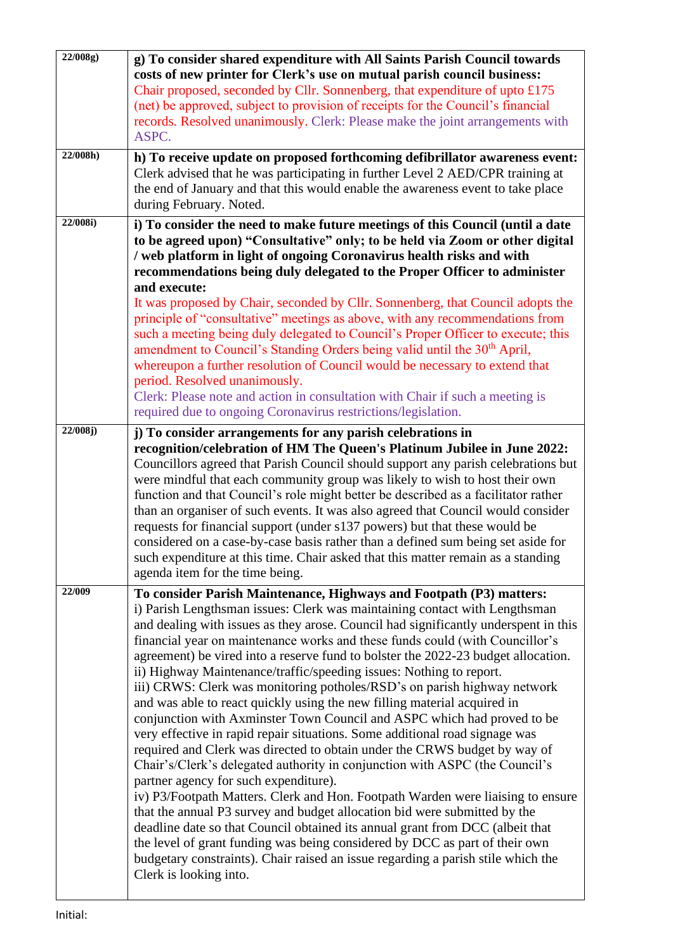| 22/008g) | g) To consider shared expenditure with All Saints Parish Council towards<br>costs of new printer for Clerk's use on mutual parish council business:<br>Chair proposed, seconded by Cllr. Sonnenberg, that expenditure of upto £175<br>(net) be approved, subject to provision of receipts for the Council's financial<br>records. Resolved unanimously. Clerk: Please make the joint arrangements with<br>ASPC.                                                                                                                                                                                                                                                                                                                                                                                                                                                                                                                                                                                                                                                                                                                                                                                                                                                                                                                                                                                                                                           |
|----------|-----------------------------------------------------------------------------------------------------------------------------------------------------------------------------------------------------------------------------------------------------------------------------------------------------------------------------------------------------------------------------------------------------------------------------------------------------------------------------------------------------------------------------------------------------------------------------------------------------------------------------------------------------------------------------------------------------------------------------------------------------------------------------------------------------------------------------------------------------------------------------------------------------------------------------------------------------------------------------------------------------------------------------------------------------------------------------------------------------------------------------------------------------------------------------------------------------------------------------------------------------------------------------------------------------------------------------------------------------------------------------------------------------------------------------------------------------------|
| 22/008h) | h) To receive update on proposed forthcoming defibrillator awareness event:<br>Clerk advised that he was participating in further Level 2 AED/CPR training at<br>the end of January and that this would enable the awareness event to take place<br>during February. Noted.                                                                                                                                                                                                                                                                                                                                                                                                                                                                                                                                                                                                                                                                                                                                                                                                                                                                                                                                                                                                                                                                                                                                                                               |
| 22/008i) | i) To consider the need to make future meetings of this Council (until a date<br>to be agreed upon) "Consultative" only; to be held via Zoom or other digital<br>web platform in light of ongoing Coronavirus health risks and with<br>recommendations being duly delegated to the Proper Officer to administer<br>and execute:<br>It was proposed by Chair, seconded by Cllr. Sonnenberg, that Council adopts the<br>principle of "consultative" meetings as above, with any recommendations from<br>such a meeting being duly delegated to Council's Proper Officer to execute; this<br>amendment to Council's Standing Orders being valid until the 30 <sup>th</sup> April,<br>whereupon a further resolution of Council would be necessary to extend that<br>period. Resolved unanimously.<br>Clerk: Please note and action in consultation with Chair if such a meeting is<br>required due to ongoing Coronavirus restrictions/legislation.                                                                                                                                                                                                                                                                                                                                                                                                                                                                                                          |
| 22/008j) | j) To consider arrangements for any parish celebrations in<br>recognition/celebration of HM The Queen's Platinum Jubilee in June 2022:<br>Councillors agreed that Parish Council should support any parish celebrations but<br>were mindful that each community group was likely to wish to host their own<br>function and that Council's role might better be described as a facilitator rather<br>than an organiser of such events. It was also agreed that Council would consider<br>requests for financial support (under s137 powers) but that these would be<br>considered on a case-by-case basis rather than a defined sum being set aside for<br>such expenditure at this time. Chair asked that this matter remain as a standing<br>agenda item for the time being.                                                                                                                                                                                                                                                                                                                                                                                                                                                                                                                                                                                                                                                                             |
| 22/009   | To consider Parish Maintenance, Highways and Footpath (P3) matters:<br>i) Parish Lengthsman issues: Clerk was maintaining contact with Lengthsman<br>and dealing with issues as they arose. Council had significantly underspent in this<br>financial year on maintenance works and these funds could (with Councillor's<br>agreement) be vired into a reserve fund to bolster the 2022-23 budget allocation.<br>ii) Highway Maintenance/traffic/speeding issues: Nothing to report.<br>iii) CRWS: Clerk was monitoring potholes/RSD's on parish highway network<br>and was able to react quickly using the new filling material acquired in<br>conjunction with Axminster Town Council and ASPC which had proved to be<br>very effective in rapid repair situations. Some additional road signage was<br>required and Clerk was directed to obtain under the CRWS budget by way of<br>Chair's/Clerk's delegated authority in conjunction with ASPC (the Council's<br>partner agency for such expenditure).<br>iv) P3/Footpath Matters. Clerk and Hon. Footpath Warden were liaising to ensure<br>that the annual P3 survey and budget allocation bid were submitted by the<br>deadline date so that Council obtained its annual grant from DCC (albeit that<br>the level of grant funding was being considered by DCC as part of their own<br>budgetary constraints). Chair raised an issue regarding a parish stile which the<br>Clerk is looking into. |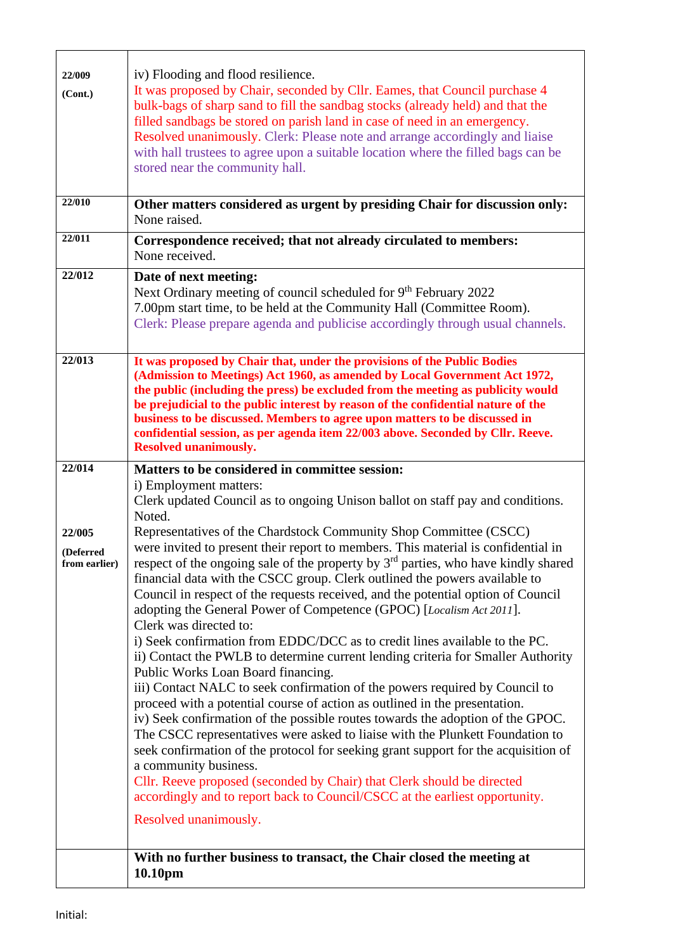| 22/009<br>(Cont.)                    | iv) Flooding and flood resilience.<br>It was proposed by Chair, seconded by Cllr. Eames, that Council purchase 4<br>bulk-bags of sharp sand to fill the sandbag stocks (already held) and that the<br>filled sandbags be stored on parish land in case of need in an emergency.<br>Resolved unanimously. Clerk: Please note and arrange accordingly and liaise<br>with hall trustees to agree upon a suitable location where the filled bags can be<br>stored near the community hall.                                                                                                                                                                                                                                                                                                                                                                                                                                                                                                                                                                                                                                                                                                                                                                                                                                                                                |
|--------------------------------------|-----------------------------------------------------------------------------------------------------------------------------------------------------------------------------------------------------------------------------------------------------------------------------------------------------------------------------------------------------------------------------------------------------------------------------------------------------------------------------------------------------------------------------------------------------------------------------------------------------------------------------------------------------------------------------------------------------------------------------------------------------------------------------------------------------------------------------------------------------------------------------------------------------------------------------------------------------------------------------------------------------------------------------------------------------------------------------------------------------------------------------------------------------------------------------------------------------------------------------------------------------------------------------------------------------------------------------------------------------------------------|
| 22/010                               | Other matters considered as urgent by presiding Chair for discussion only:<br>None raised.                                                                                                                                                                                                                                                                                                                                                                                                                                                                                                                                                                                                                                                                                                                                                                                                                                                                                                                                                                                                                                                                                                                                                                                                                                                                            |
| 22/011                               | Correspondence received; that not already circulated to members:<br>None received.                                                                                                                                                                                                                                                                                                                                                                                                                                                                                                                                                                                                                                                                                                                                                                                                                                                                                                                                                                                                                                                                                                                                                                                                                                                                                    |
| 22/012                               | Date of next meeting:<br>Next Ordinary meeting of council scheduled for 9 <sup>th</sup> February 2022<br>7.00pm start time, to be held at the Community Hall (Committee Room).<br>Clerk: Please prepare agenda and publicise accordingly through usual channels.                                                                                                                                                                                                                                                                                                                                                                                                                                                                                                                                                                                                                                                                                                                                                                                                                                                                                                                                                                                                                                                                                                      |
| 22/013                               | It was proposed by Chair that, under the provisions of the Public Bodies<br>(Admission to Meetings) Act 1960, as amended by Local Government Act 1972,<br>the public (including the press) be excluded from the meeting as publicity would<br>be prejudicial to the public interest by reason of the confidential nature of the<br>business to be discussed. Members to agree upon matters to be discussed in<br>confidential session, as per agenda item 22/003 above. Seconded by Cllr. Reeve.<br><b>Resolved unanimously.</b>                                                                                                                                                                                                                                                                                                                                                                                                                                                                                                                                                                                                                                                                                                                                                                                                                                      |
| 22/014                               | Matters to be considered in committee session:                                                                                                                                                                                                                                                                                                                                                                                                                                                                                                                                                                                                                                                                                                                                                                                                                                                                                                                                                                                                                                                                                                                                                                                                                                                                                                                        |
|                                      | i) Employment matters:<br>Clerk updated Council as to ongoing Unison ballot on staff pay and conditions.<br>Noted.                                                                                                                                                                                                                                                                                                                                                                                                                                                                                                                                                                                                                                                                                                                                                                                                                                                                                                                                                                                                                                                                                                                                                                                                                                                    |
| 22/005<br>(Deferred<br>from earlier) | Representatives of the Chardstock Community Shop Committee (CSCC)<br>were invited to present their report to members. This material is confidential in<br>respect of the ongoing sale of the property by 3 <sup>rd</sup> parties, who have kindly shared<br>financial data with the CSCC group. Clerk outlined the powers available to<br>Council in respect of the requests received, and the potential option of Council<br>adopting the General Power of Competence (GPOC) [Localism Act 2011].<br>Clerk was directed to:<br>i) Seek confirmation from EDDC/DCC as to credit lines available to the PC.<br>ii) Contact the PWLB to determine current lending criteria for Smaller Authority<br>Public Works Loan Board financing.<br>iii) Contact NALC to seek confirmation of the powers required by Council to<br>proceed with a potential course of action as outlined in the presentation.<br>iv) Seek confirmation of the possible routes towards the adoption of the GPOC.<br>The CSCC representatives were asked to liaise with the Plunkett Foundation to<br>seek confirmation of the protocol for seeking grant support for the acquisition of<br>a community business.<br>Cllr. Reeve proposed (seconded by Chair) that Clerk should be directed<br>accordingly and to report back to Council/CSCC at the earliest opportunity.<br>Resolved unanimously. |
|                                      | With no further business to transact, the Chair closed the meeting at<br>10.10pm                                                                                                                                                                                                                                                                                                                                                                                                                                                                                                                                                                                                                                                                                                                                                                                                                                                                                                                                                                                                                                                                                                                                                                                                                                                                                      |